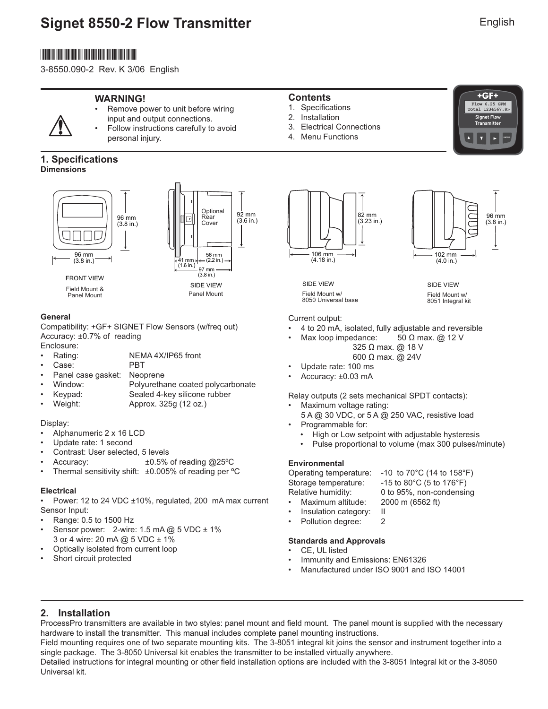# **Signet 8550-2 Flow Transmitter**

# \*3-8550.090-2\*

3-8550.090-2 Rev. K 3/06 English

### **WARNING!**



Remove power to unit before wiring input and output connections.

• Follow instructions carefully to avoid personal injury.

### **1. Specifications Dimensions**





Panel Mount

### **General**

Compatibility: +GF+ SIGNET Flow Sensors (w/freq out) Accuracy: ±0.7% of reading

- Enclosure:<br>• Rating: • Rating: NEMA 4X/IP65 front<br>• Case: PRT
- Case:
- Panel case gasket: Neoprene
- Window: Polyurethane coated polycarbonate
- Keypad: Sealed 4-key silicone rubber
- Weight: Approx. 325g (12 oz.)

### Display:

- Alphanumeric 2 x 16 LCD
- Update rate: 1 second
- Contrast: User selected, 5 levels
- Accuracy: ±0.5% of reading @25ºC
- Thermal sensitivity shift: ±0.005% of reading per °C

### **Electrical**

• Power: 12 to 24 VDC ±10%, regulated, 200 mA max current Sensor Input:

- Range: 0.5 to 1500 Hz
- Sensor power: 2-wire: 1.5 mA @ 5 VDC ± 1% 3 or 4 wire: 20 mA @ 5 VDC ± 1%
- Optically isolated from current loop
- Short circuit protected

### **Contents**

- 1. Specifications
- 2. Installation
- 3. Electrical Connections
- 4. Menu Functions



106 mm (4.18 in.) 82 mm (3.23 in.)



SIDE VIEW Field Mount w/ 8051 Integral kit

SIDE VIEW Field Mount w/ 8050 Universal base

Current output: • 4 to 20 mA, isolated, fully adjustable and reversible

- Max loop impedance: 50 Ω max. @ 12 V
	- 325 Ω max. @ 18 V 600 Ω max. @ 24V
- Update rate: 100 ms
- Accuracy: ±0.03 mA

Relay outputs (2 sets mechanical SPDT contacts):

- Maximum voltage rating:
	- 5 A @ 30 VDC, or 5 A @ 250 VAC, resistive load
- Programmable for:
	- High or Low setpoint with adjustable hysteresis
	- Pulse proportional to volume (max 300 pulses/minute)

### **Environmental**

Operating temperature: -10 to 70°C (14 to 158°F) Storage temperature: -15 to 80°C (5 to 176°F) Maximum altitude:

Relative humidity: 0 to 95%, non-condensing<br>• Maximum altitude: 2000 m (6562 ft)

- Insulation category: II
- Pollution degree: 2

### **Standards and Approvals**

- CE, UL listed
- Immunity and Emissions: EN61326
- Manufactured under ISO 9001 and ISO 14001

**2. Installation**

ProcessPro transmitters are available in two styles: panel mount and field mount. The panel mount is supplied with the necessary hardware to install the transmitter. This manual includes complete panel mounting instructions.

Field mounting requires one of two separate mounting kits. The 3-8051 integral kit joins the sensor and instrument together into a single package. The 3-8050 Universal kit enables the transmitter to be installed virtually anywhere.

Detailed instructions for integral mounting or other field installation options are included with the 3-8051 Integral kit or the 3-8050 Universal kit.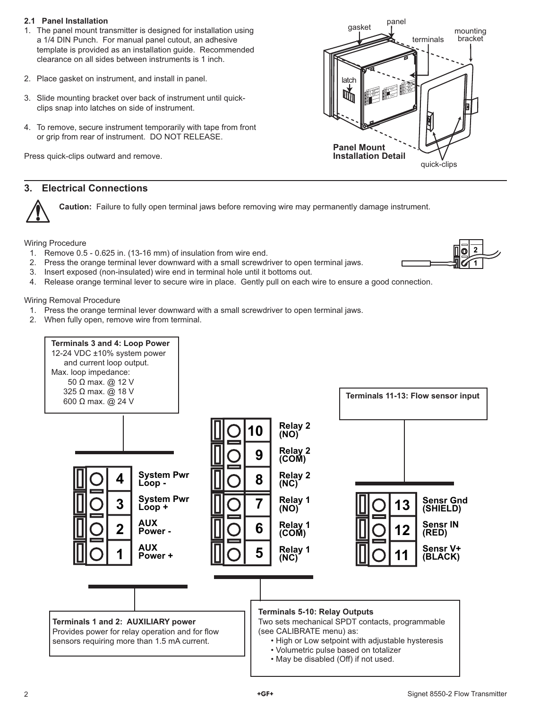### **2.1 Panel Installation**

- 1. The panel mount transmitter is designed for installation using a 1/4 DIN Punch. For manual panel cutout, an adhesive template is provided as an installation guide. Recommended clearance on all sides between instruments is 1 inch.
- 2. Place gasket on instrument, and install in panel.
- 3. Slide mounting bracket over back of instrument until quickclips snap into latches on side of instrument.
- 4. To remove, secure instrument temporarily with tape from front or grip from rear of instrument. DO NOT RELEASE.

Press quick-clips outward and remove.

### **3. Electrical Connections**

**Caution:** Failure to fully open terminal jaws before removing wire may permanently damage instrument.

Wiring Procedure

- 1. Remove 0.5 0.625 in. (13-16 mm) of insulation from wire end.
- 2. Press the orange terminal lever downward with a small screwdriver to open terminal jaws.
- 3. Insert exposed (non-insulated) wire end in terminal hole until it bottoms out.
- 4. Release orange terminal lever to secure wire in place. Gently pull on each wire to ensure a good connection.

Wiring Removal Procedure

- 1. Press the orange terminal lever downward with a small screwdriver to open terminal jaws.
- 2. When fully open, remove wire from terminal.





**2 1**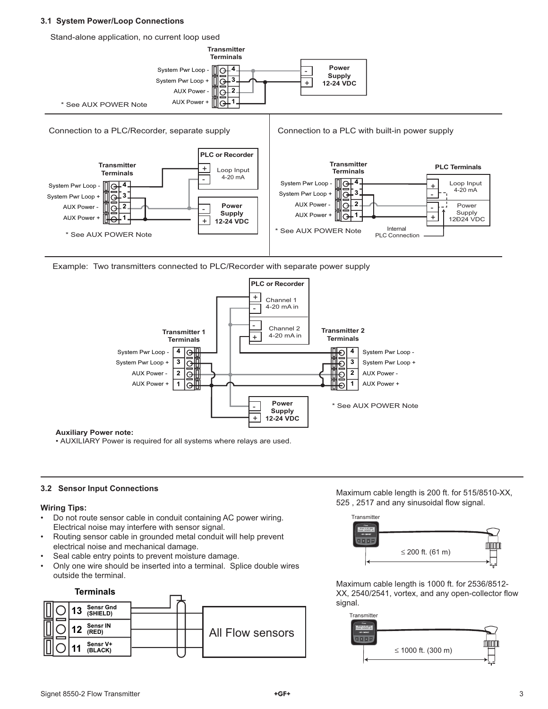#### **3.1 System Power/Loop Connections**

Stand-alone application, no current loop used



Example: Two transmitters connected to PLC/Recorder with separate power supply



**Auxiliary Power note:**

• AUXILIARY Power is required for all systems where relays are used.

#### **3.2 Sensor Input Connections**

#### **Wiring Tips:**

- Do not route sensor cable in conduit containing AC power wiring. Electrical noise may interfere with sensor signal.
- Routing sensor cable in grounded metal conduit will help prevent electrical noise and mechanical damage.
- Seal cable entry points to prevent moisture damage.
- Only one wire should be inserted into a terminal. Splice double wires outside the terminal.



Maximum cable length is 200 ft. for 515/8510-XX, 525, 2517 and any sinusoidal flow signal.



Maximum cable length is 1000 ft. for 2536/8512- XX, 2540/2541, vortex, and any open-collector flow signal.

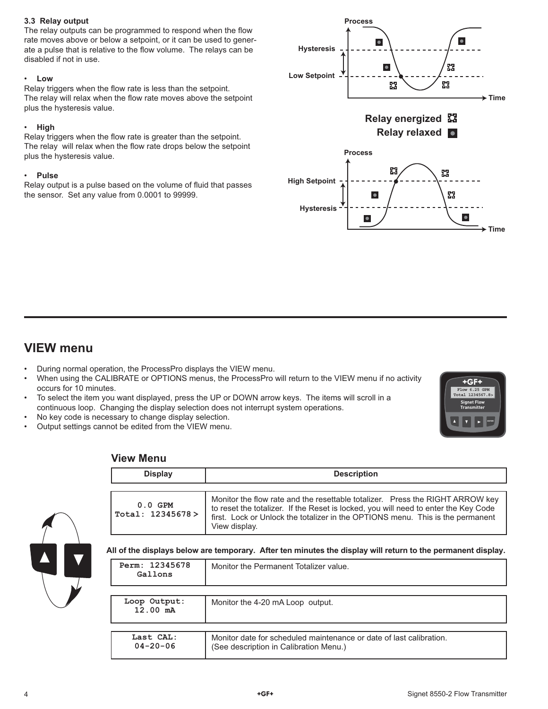### **3.3 Relay output**

The relay outputs can be programmed to respond when the flow rate moves above or below a setpoint, or it can be used to generate a pulse that is relative to the flow volume. The relays can be disabled if not in use.

### • **Low**

Relay triggers when the flow rate is less than the setpoint. The relay will relax when the flow rate moves above the setpoint plus the hysteresis value.

### • **High**

Relay triggers when the flow rate is greater than the setpoint. The relay will relax when the flow rate drops below the setpoint plus the hysteresis value.

### • **Pulse**

Relay output is a pulse based on the volume of fluid that passes the sensor. Set any value from 0.0001 to 99999.



# **VIEW menu**

- During normal operation, the ProcessPro displays the VIEW menu.
- When using the CALIBRATE or OPTIONS menus, the ProcessPro will return to the VIEW menu if no activity occurs for 10 minutes.
- To select the item you want displayed, press the UP or DOWN arrow keys. The items will scroll in a continuous loop. Changing the display selection does not interrupt system operations.
- No key code is necessary to change display selection.
- Output settings cannot be edited from the VIEW menu.



### **View Menu**

 **04-20-06** 

| <b>Display</b>                     | <b>Description</b>                                                                                                                                                                                                                                                      |
|------------------------------------|-------------------------------------------------------------------------------------------------------------------------------------------------------------------------------------------------------------------------------------------------------------------------|
| $0.0$ GPM<br>Total: 12345678 >     | Monitor the flow rate and the resettable totalizer. Press the RIGHT ARROW key<br>to reset the totalizer. If the Reset is locked, you will need to enter the Key Code<br>first. Lock or Unlock the totalizer in the OPTIONS menu. This is the permanent<br>View display. |
| Perm: 12345678<br>Gallons          | All of the displays below are temporary. After ten minutes the display will return to the permanent display.<br>Monitor the Permanent Totalizer value.                                                                                                                  |
|                                    |                                                                                                                                                                                                                                                                         |
| Loop Output:<br>$12.00 \text{ mA}$ | Monitor the 4-20 mA Loop output.                                                                                                                                                                                                                                        |

(See description in Calibration Menu.)

Monitor date for scheduled maintenance or date of last calibration.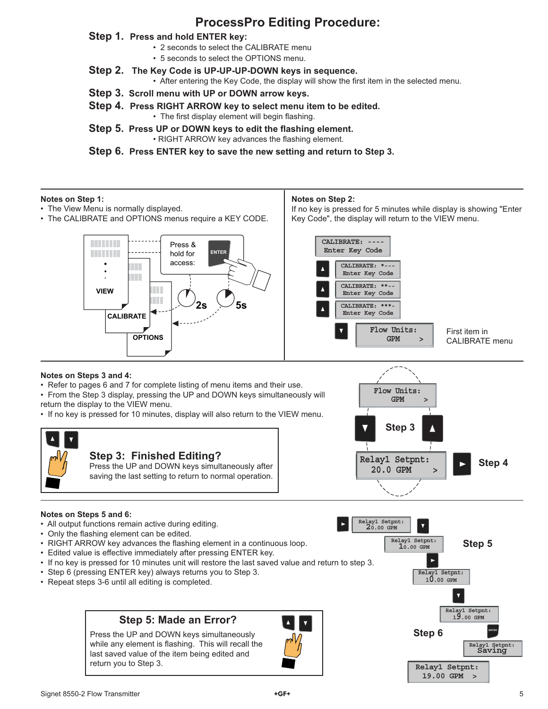# **ProcessPro Editing Procedure:**

### **Step 1. Press and hold ENTER key:**

- 2 seconds to select the CALIBRATE menu
- 5 seconds to select the OPTIONS menu.
- **Step 2. The Key Code is UP-UP-UP-DOWN keys in sequence.**
	- After entering the Key Code, the display will show the first item in the selected menu.
- **Step 3. Scroll menu with UP or DOWN arrow keys.**
- **Step 4. Press RIGHT ARROW key to select menu item to be edited.** • The first display element will begin flashing.
- **Step 5. Press UP or DOWN keys to edit the flashing element.** • RIGHT ARROW key advances the flashing element.
- **Step 6. Press ENTER key to save the new setting and return to Step 3.**

### **Notes on Step 1:**

- The View Menu is normally displayed.
- The CALIBRATE and OPTIONS menus require a KEY CODE.

### **Notes on Step 2:**

If no key is pressed for 5 minutes while display is showing "Enter Key Code", the display will return to the VIEW menu.

> **GPM > Flow Units:**



### **Notes on Steps 3 and 4:**

• Refer to pages 6 and 7 for complete listing of menu items and their use.

• From the Step 3 display, pressing the UP and DOWN keys simultaneously will return the display to the VIEW menu.

• If no key is pressed for 10 minutes, display will also return to the VIEW menu.



### **Notes on Steps 5 and 6:**

- All output functions remain active during editing.
- Only the flashing element can be edited.
- RIGHT ARROW key advances the flashing element in a continuous loop.
- Edited value is effective immediately after pressing ENTER key.
- If no key is pressed for 10 minutes unit will restore the last saved value and return to step 3.
- Step 6 (pressing ENTER key) always returns you to Step 3.
- Repeat steps 3-6 until all editing is completed.

# **Step 5: Made an Error?**

Press the UP and DOWN keys simultaneously while any element is flashing. This will recall the last saved value of the item being edited and return you to Step 3.





**Step 6**

**Relay1 Setpnt: 19.00 GPM >**



**ENTER**

**Relay1 Setpnt: Saving**

**Relay1 Setpnt: 19.00 GPM**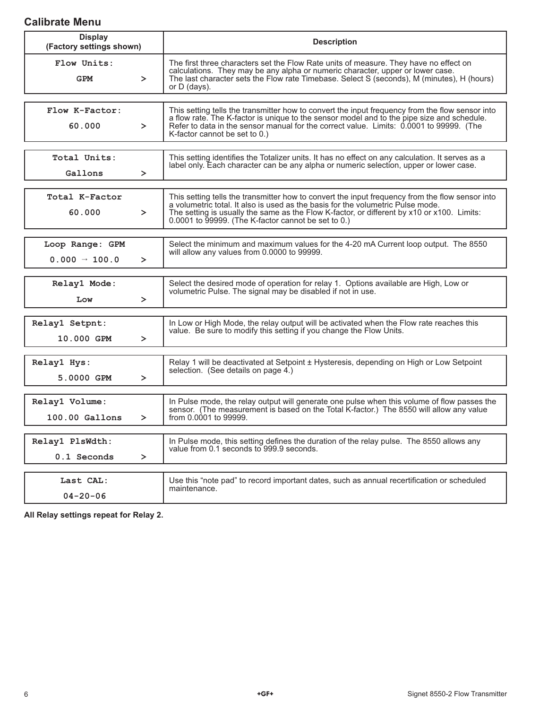# **Calibrate Menu**

| <b>Display</b><br>(Factory settings shown)             | <b>Description</b>                                                                                                                                                                                                                                                                                                                      |  |
|--------------------------------------------------------|-----------------------------------------------------------------------------------------------------------------------------------------------------------------------------------------------------------------------------------------------------------------------------------------------------------------------------------------|--|
| Flow Units:<br><b>GPM</b><br>$\geq$                    | The first three characters set the Flow Rate units of measure. They have no effect on<br>calculations. They may be any alpha or numeric character, upper or lower case.<br>The last character sets the Flow rate Timebase. Select S (seconds), M (minutes), H (hours)<br>or $D$ (days).                                                 |  |
| Flow K-Factor:<br>60.000<br>$\geq$                     | This setting tells the transmitter how to convert the input frequency from the flow sensor into<br>a flow rate. The K-factor is unique to the sensor model and to the pipe size and schedule.<br>Refer to data in the sensor manual for the correct value. Limits: 0.0001 to 99999. (The<br>K-factor cannot be set to 0.)               |  |
| Total Units:<br>Gallons<br>≻                           | This setting identifies the Totalizer units. It has no effect on any calculation. It serves as a<br>label only. Each character can be any alpha or numeric selection, upper or lower case.                                                                                                                                              |  |
| Total K-Factor<br>60.000<br>$\geq$                     | This setting tells the transmitter how to convert the input frequency from the flow sensor into<br>a volumetric total. It also is used as the basis for the volumetric Pulse mode.<br>The setting is usually the same as the Flow K-factor, or different by x10 or x100. Limits:<br>0.0001 to 99999. (The K-factor cannot be set to 0.) |  |
| Loop Range: GPM<br>$0.000 \rightarrow 100.0$<br>$\geq$ | Select the minimum and maximum values for the 4-20 mA Current loop output. The 8550<br>will allow any values from 0.0000 to 99999.                                                                                                                                                                                                      |  |
| Relay1 Mode:<br>Low<br>$\geq$                          | Select the desired mode of operation for relay 1. Options available are High, Low or<br>volumetric Pulse. The signal may be disabled if not in use.                                                                                                                                                                                     |  |
| Relay1 Setpnt:<br>10.000 GPM<br>≻                      | In Low or High Mode, the relay output will be activated when the Flow rate reaches this<br>value. Be sure to modify this setting if you change the Flow Units.                                                                                                                                                                          |  |
| Relay1 Hys:<br>5.0000 GPM<br>$\geq$                    | Relay 1 will be deactivated at Setpoint ± Hysteresis, depending on High or Low Setpoint<br>selection. (See details on page 4.)                                                                                                                                                                                                          |  |
| Relay1 Volume:<br>$100.00$ Gallons<br>$\geq$           | In Pulse mode, the relay output will generate one pulse when this volume of flow passes the<br>sensor. (The measurement is based on the Total K-factor.) The 8550 will allow any value<br>from 0.0001 to 99999.                                                                                                                         |  |
| Relay1 PlsWdth:<br>0.1 Seconds<br>$\, >$               | In Pulse mode, this setting defines the duration of the relay pulse. The 8550 allows any<br>value from 0.1 seconds to 999.9 seconds.                                                                                                                                                                                                    |  |
| Last CAL:<br>$04 - 20 - 06$                            | Use this "note pad" to record important dates, such as annual recertification or scheduled<br>maintenance.                                                                                                                                                                                                                              |  |

**All Relay settings repeat for Relay 2.**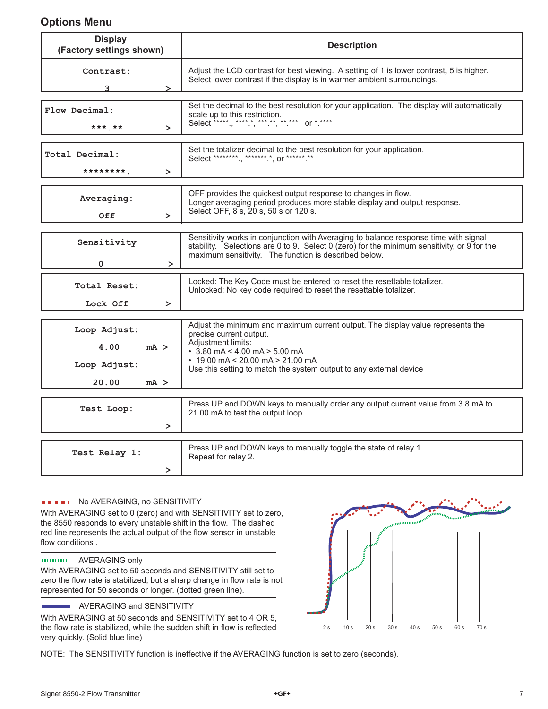## **Options Menu**

| <b>Display</b><br>(Factory settings shown) | <b>Description</b>                                                                                                                                                                                                                           |  |
|--------------------------------------------|----------------------------------------------------------------------------------------------------------------------------------------------------------------------------------------------------------------------------------------------|--|
| Contrast:                                  | Adjust the LCD contrast for best viewing. A setting of 1 is lower contrast, 5 is higher.<br>Select lower contrast if the display is in warmer ambient surroundings.                                                                          |  |
| Flow Decimal:<br>*** **<br>$\geq$          | Set the decimal to the best resolution for your application. The display will automatically<br>scale up to this restriction.<br>Select *****, **** *, *** **, ** *** or * ****                                                               |  |
| Total Decimal:<br>*********<br>$\geq$      | Set the totalizer decimal to the best resolution for your application.<br>Select *********, ******* *, or ******.**                                                                                                                          |  |
| Averaging:<br>0ff<br>$\geq$                | OFF provides the quickest output response to changes in flow.<br>Longer averaging period produces more stable display and output response.<br>Select OFF, 8 s, 20 s, 50 s or 120 s.                                                          |  |
| Sensitivity<br>$\Omega$<br>≻               | Sensitivity works in conjunction with Averaging to balance response time with signal<br>stability. Selections are 0 to 9. Select 0 (zero) for the minimum sensitivity, or 9 for the<br>maximum sensitivity. The function is described below. |  |
| Total Reset:<br>Lock Off<br>$\geq$         | Locked: The Key Code must be entered to reset the resettable totalizer.<br>Unlocked: No key code required to reset the resettable totalizer.                                                                                                 |  |
| Loop Adjust:<br>4.00<br>mA >               | Adjust the minimum and maximum current output. The display value represents the<br>precise current output.<br>Adjustment limits:<br>$\cdot$ 3.80 mA < 4.00 mA > 5.00 mA                                                                      |  |
| Loop Adjust:<br>20.00<br>mA >              | $\cdot$ 19.00 mA < 20.00 mA > 21.00 mA<br>Use this setting to match the system output to any external device                                                                                                                                 |  |
| Test Loop:<br>$\geq$                       | Press UP and DOWN keys to manually order any output current value from 3.8 mA to<br>21.00 mA to test the output loop.                                                                                                                        |  |
| $\mathbf{D}$ . T.<br>ш.                    | Press UP and DOWN keys to manually toggle the state of relay 1.                                                                                                                                                                              |  |

### **NO AVERAGING, no SENSITIVITY**

 **Test Relay 1:**

With AVERAGING set to 0 (zero) and with SENSITIVITY set to zero, the 8550 responds to every unstable shift in the flow. The dashed red line represents the actual output of the flow sensor in unstable flow conditions.

### AVERAGING only

With AVERAGING set to 50 seconds and SENSITIVITY still set to zero the flow rate is stabilized, but a sharp change in flow rate is not represented for 50 seconds or longer. (dotted green line).

### **AVERAGING and SENSITIVITY**

With AVERAGING at 50 seconds and SENSITIVITY set to 4 OR 5, the flow rate is stabilized, while the sudden shift in flow is reflected very quickly. (Solid blue line)



NOTE: The SENSITIVITY function is ineffective if the AVERAGING function is set to zero (seconds).

Repeat for relay 2.